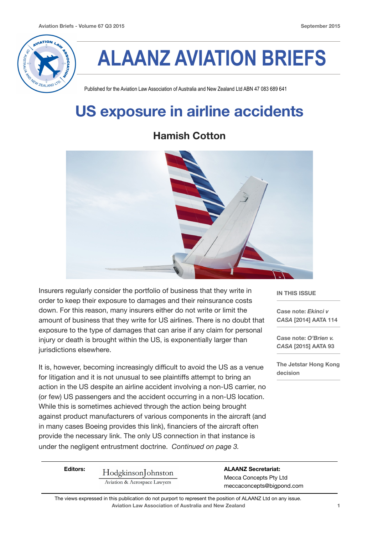

# **ALAANZ AVIATION BRIEFS**

Published for the Aviation Law Association of Australia and New Zealand Ltd ABN 47 083 689 641

### **US exposure in airline accidents**

#### **Hamish Cotton**



Insurers regularly consider the portfolio of business that they write in order to keep their exposure to damages and their reinsurance costs down. For this reason, many insurers either do not write or limit the amount of business that they write for US airlines. There is no doubt that exposure to the type of damages that can arise if any claim for personal injury or death is brought within the US, is exponentially larger than jurisdictions elsewhere.

It is, however, becoming increasingly difficult to avoid the US as a venue for litigation and it is not unusual to see plaintiffs attempt to bring an action in the US despite an airline accident involving a non-US carrier, no (or few) US passengers and the accident occurring in a non-US location. While this is sometimes achieved through the action being brought against product manufacturers of various components in the aircraft (and in many cases Boeing provides this link), financiers of the aircraft often provide the necessary link. The only US connection in that instance is under the negligent entrustment doctrine. *Continued on page 3.*

Editors: Hodgkinson ohnston Mecca Concepts Pty Ltd<br>Aviation & Aerospace Lawyers meccaconcepts@bigpond.com

**Aviation Law Association of Australia and New Zealand 1** The views expressed in this publication do not purport to represent the position of ALAANZ Ltd on any issue.

**IN THIS ISSUE** 

**Case note:** *Ekinci v CASA* **[2014] AATA 114** 

**Case note:** *O'Brien v. CASA* **[2015] AATA 93**

**The Jetstar Hong Kong decision**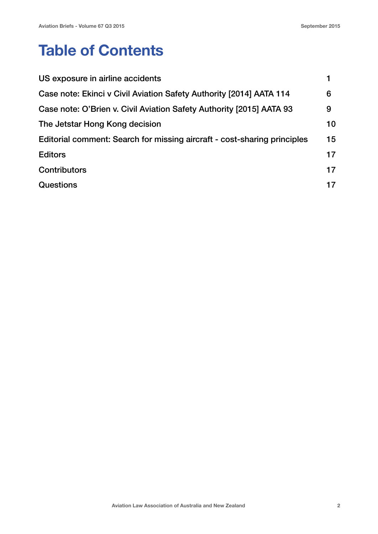### **Table of Contents**

| US exposure in airline accidents                                         |    |
|--------------------------------------------------------------------------|----|
| Case note: Ekinci v Civil Aviation Safety Authority [2014] AATA 114      | 6  |
| Case note: O'Brien v. Civil Aviation Safety Authority [2015] AATA 93     | 9  |
| The Jetstar Hong Kong decision                                           | 10 |
| Editorial comment: Search for missing aircraft - cost-sharing principles | 15 |
| <b>Editors</b>                                                           | 17 |
| <b>Contributors</b>                                                      | 17 |
| <b>Questions</b>                                                         | 17 |
|                                                                          |    |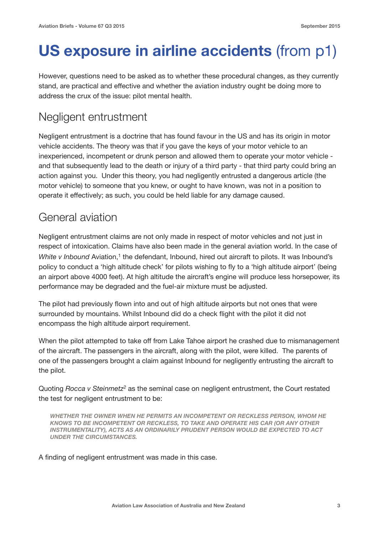## **US exposure in airline accidents** (from p1)

However, questions need to be asked as to whether these procedural changes, as they currently stand, are practical and effective and whether the aviation industry ought be doing more to address the crux of the issue: pilot mental health.

### Negligent entrustment

Negligent entrustment is a doctrine that has found favour in the US and has its origin in motor vehicle accidents. The theory was that if you gave the keys of your motor vehicle to an inexperienced, incompetent or drunk person and allowed them to operate your motor vehicle and that subsequently lead to the death or injury of a third party - that third party could bring an action against you. Under this theory, you had negligently entrusted a dangerous article (the motor vehicle) to someone that you knew, or ought to have known, was not in a position to operate it effectively; as such, you could be held liable for any damage caused.

### General aviation

Negligent entrustment claims are not only made in respect of motor vehicles and not just in respect of intoxication. Claims have also been made in the general aviation world. In the case of *White v Inbound* Aviation,<sup>1</sup> the defendant, Inbound, hired out aircraft to pilots. It was Inbound's policy to conduct a 'high altitude check' for pilots wishing to fly to a 'high altitude airport' (being an airport above 4000 feet). At high altitude the aircraft's engine will produce less horsepower, its performance may be degraded and the fuel-air mixture must be adjusted.

The pilot had previously flown into and out of high altitude airports but not ones that were surrounded by mountains. Whilst Inbound did do a check flight with the pilot it did not encompass the high altitude airport requirement.

When the pilot attempted to take off from Lake Tahoe airport he crashed due to mismanagement of the aircraft. The passengers in the aircraft, along with the pilot, were killed. The parents of one of the passengers brought a claim against Inbound for negligently entrusting the aircraft to the pilot.

Quoting *Rocca v Steinmetz2* as the seminal case on negligent entrustment, the Court restated the test for negligent entrustment to be:

*WHETHER THE OWNER WHEN HE PERMITS AN INCOMPETENT OR RECKLESS PERSON, WHOM HE KNOWS TO BE INCOMPETENT OR RECKLESS, TO TAKE AND OPERATE HIS CAR (OR ANY OTHER INSTRUMENTALITY), ACTS AS AN ORDINARILY PRUDENT PERSON WOULD BE EXPECTED TO ACT UNDER THE CIRCUMSTANCES.*

A finding of negligent entrustment was made in this case.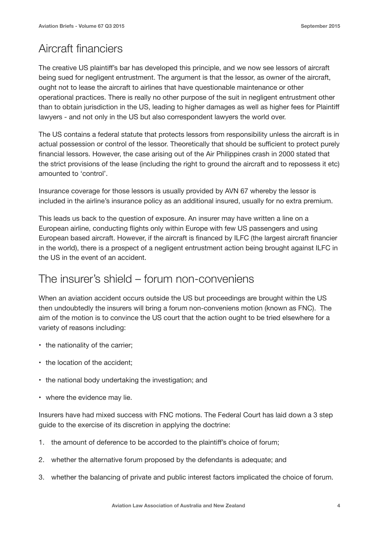### Aircraft financiers

The creative US plaintiff's bar has developed this principle, and we now see lessors of aircraft being sued for negligent entrustment. The argument is that the lessor, as owner of the aircraft, ought not to lease the aircraft to airlines that have questionable maintenance or other operational practices. There is really no other purpose of the suit in negligent entrustment other than to obtain jurisdiction in the US, leading to higher damages as well as higher fees for Plaintiff lawyers - and not only in the US but also correspondent lawyers the world over.

The US contains a federal statute that protects lessors from responsibility unless the aircraft is in actual possession or control of the lessor. Theoretically that should be sufficient to protect purely financial lessors. However, the case arising out of the Air Philippines crash in 2000 stated that the strict provisions of the lease (including the right to ground the aircraft and to repossess it etc) amounted to 'control'.

Insurance coverage for those lessors is usually provided by AVN 67 whereby the lessor is included in the airline's insurance policy as an additional insured, usually for no extra premium.

This leads us back to the question of exposure. An insurer may have written a line on a European airline, conducting flights only within Europe with few US passengers and using European based aircraft. However, if the aircraft is financed by ILFC (the largest aircraft financier in the world), there is a prospect of a negligent entrustment action being brought against ILFC in the US in the event of an accident.

#### The insurer's shield – forum non-conveniens

When an aviation accident occurs outside the US but proceedings are brought within the US then undoubtedly the insurers will bring a forum non-conveniens motion (known as FNC). The aim of the motion is to convince the US court that the action ought to be tried elsewhere for a variety of reasons including:

- the nationality of the carrier;
- the location of the accident;
- the national body undertaking the investigation; and
- where the evidence may lie.

Insurers have had mixed success with FNC motions. The Federal Court has laid down a 3 step guide to the exercise of its discretion in applying the doctrine:

- 1. the amount of deference to be accorded to the plaintiff's choice of forum;
- 2. whether the alternative forum proposed by the defendants is adequate; and
- 3. whether the balancing of private and public interest factors implicated the choice of forum.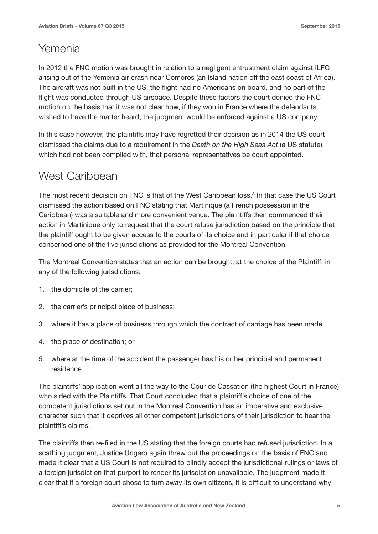#### Yemenia

In 2012 the FNC motion was brought in relation to a negligent entrustment claim against ILFC arising out of the Yemenia air crash near Comoros (an Island nation off the east coast of Africa). The aircraft was not built in the US, the flight had no Americans on board, and no part of the flight was conducted through US airspace. Despite these factors the court denied the FNC motion on the basis that it was not clear how, if they won in France where the defendants wished to have the matter heard, the judgment would be enforced against a US company.

In this case however, the plaintiffs may have regretted their decision as in 2014 the US court dismissed the claims due to a requirement in the *Death on the High Seas Act* (a US statute), which had not been complied with, that personal representatives be court appointed.

#### West Caribbean

The most recent decision on FNC is that of the West Caribbean loss.<sup>3</sup> In that case the US Court dismissed the action based on FNC stating that Martinique (a French possession in the Caribbean) was a suitable and more convenient venue. The plaintiffs then commenced their action in Martinique only to request that the court refuse jurisdiction based on the principle that the plaintiff ought to be given access to the courts of its choice and in particular if that choice concerned one of the five jurisdictions as provided for the Montreal Convention.

The Montreal Convention states that an action can be brought, at the choice of the Plaintiff, in any of the following jurisdictions:

- 1. the domicile of the carrier;
- 2. the carrier's principal place of business;
- 3. where it has a place of business through which the contract of carriage has been made
- 4. the place of destination; or
- 5. where at the time of the accident the passenger has his or her principal and permanent residence

The plaintiffs' application went all the way to the Cour de Cassation (the highest Court in France) who sided with the Plaintiffs. That Court concluded that a plaintiff's choice of one of the competent jurisdictions set out in the Montreal Convention has an imperative and exclusive character such that it deprives all other competent jurisdictions of their jurisdiction to hear the plaintiff's claims.

The plaintiffs then re-filed in the US stating that the foreign courts had refused jurisdiction. In a scathing judgment, Justice Ungaro again threw out the proceedings on the basis of FNC and made it clear that a US Court is not required to blindly accept the jurisdictional rulings or laws of a foreign jurisdiction that purport to render its jurisdiction unavailable. The judgment made it clear that if a foreign court chose to turn away its own citizens, it is difficult to understand why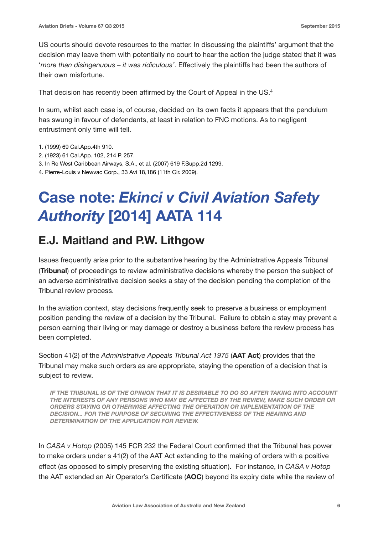US courts should devote resources to the matter. In discussing the plaintiffs' argument that the decision may leave them with potentially no court to hear the action the judge stated that it was '*more than disingenuous – it was ridiculous'*. Effectively the plaintiffs had been the authors of their own misfortune.

That decision has recently been affirmed by the Court of Appeal in the US.4

In sum, whilst each case is, of course, decided on its own facts it appears that the pendulum has swung in favour of defendants, at least in relation to FNC motions. As to negligent entrustment only time will tell.

- 1. (1999) 69 Cal.App.4th 910.
- 2. (1923) 61 Cal.App. 102, 214 P. 257.
- 3. In Re West Caribbean Airways, S.A., et al. (2007) 619 F.Supp.2d 1299.
- 4. Pierre-Louis v Newvac Corp., 33 Avi 18,186 (11th Cir. 2009).

### **Case note:** *Ekinci v Civil Aviation Safety Authority* **[2014] AATA 114**

### **E.J. Maitland and P.W. Lithgow**

Issues frequently arise prior to the substantive hearing by the Administrative Appeals Tribunal (**Tribunal**) of proceedings to review administrative decisions whereby the person the subject of an adverse administrative decision seeks a stay of the decision pending the completion of the Tribunal review process.

In the aviation context, stay decisions frequently seek to preserve a business or employment position pending the review of a decision by the Tribunal. Failure to obtain a stay may prevent a person earning their living or may damage or destroy a business before the review process has been completed.

Section 41(2) of the *Administrative Appeals Tribunal Act 1975* (**AAT Act**) provides that the Tribunal may make such orders as are appropriate, staying the operation of a decision that is subject to review.

*IF THE TRIBUNAL IS OF THE OPINION THAT IT IS DESIRABLE TO DO SO AFTER TAKING INTO ACCOUNT THE INTERESTS OF ANY PERSONS WHO MAY BE AFFECTED BY THE REVIEW, MAKE SUCH ORDER OR ORDERS STAYING OR OTHERWISE AFFECTING THE OPERATION OR IMPLEMENTATION OF THE DECISION... FOR THE PURPOSE OF SECURING THE EFFECTIVENESS OF THE HEARING AND DETERMINATION OF THE APPLICATION FOR REVIEW.*

In *CASA v Hotop* (2005) 145 FCR 232 the Federal Court confirmed that the Tribunal has power to make orders under s 41(2) of the AAT Act extending to the making of orders with a positive effect (as opposed to simply preserving the existing situation). For instance, in *CASA v Hotop* the AAT extended an Air Operator's Certificate (**AOC**) beyond its expiry date while the review of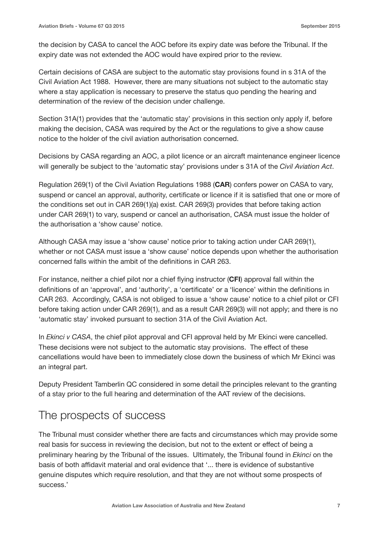the decision by CASA to cancel the AOC before its expiry date was before the Tribunal. If the expiry date was not extended the AOC would have expired prior to the review.

Certain decisions of CASA are subject to the automatic stay provisions found in s 31A of the Civil Aviation Act 1988. However, there are many situations not subject to the automatic stay where a stay application is necessary to preserve the status quo pending the hearing and determination of the review of the decision under challenge.

Section 31A(1) provides that the 'automatic stay' provisions in this section only apply if, before making the decision, CASA was required by the Act or the regulations to give a show cause notice to the holder of the civil aviation authorisation concerned.

Decisions by CASA regarding an AOC, a pilot licence or an aircraft maintenance engineer licence will generally be subject to the 'automatic stay' provisions under s 31A of the *Civil Aviation Act*.

Regulation 269(1) of the Civil Aviation Regulations 1988 (**CAR**) confers power on CASA to vary, suspend or cancel an approval, authority, certificate or licence if it is satisfied that one or more of the conditions set out in CAR 269(1)(a) exist. CAR 269(3) provides that before taking action under CAR 269(1) to vary, suspend or cancel an authorisation, CASA must issue the holder of the authorisation a 'show cause' notice.

Although CASA may issue a 'show cause' notice prior to taking action under CAR 269(1), whether or not CASA must issue a 'show cause' notice depends upon whether the authorisation concerned falls within the ambit of the definitions in CAR 263.

For instance, neither a chief pilot nor a chief flying instructor (**CFI**) approval fall within the definitions of an 'approval', and 'authority', a 'certificate' or a 'licence' within the definitions in CAR 263. Accordingly, CASA is not obliged to issue a 'show cause' notice to a chief pilot or CFI before taking action under CAR 269(1), and as a result CAR 269(3) will not apply; and there is no 'automatic stay' invoked pursuant to section 31A of the Civil Aviation Act.

In *Ekinci v CASA*, the chief pilot approval and CFI approval held by Mr Ekinci were cancelled. These decisions were not subject to the automatic stay provisions. The effect of these cancellations would have been to immediately close down the business of which Mr Ekinci was an integral part.

Deputy President Tamberlin QC considered in some detail the principles relevant to the granting of a stay prior to the full hearing and determination of the AAT review of the decisions.

### The prospects of success

The Tribunal must consider whether there are facts and circumstances which may provide some real basis for success in reviewing the decision, but not to the extent or effect of being a preliminary hearing by the Tribunal of the issues. Ultimately, the Tribunal found in *Ekinci* on the basis of both affidavit material and oral evidence that '... there is evidence of substantive genuine disputes which require resolution, and that they are not without some prospects of success.'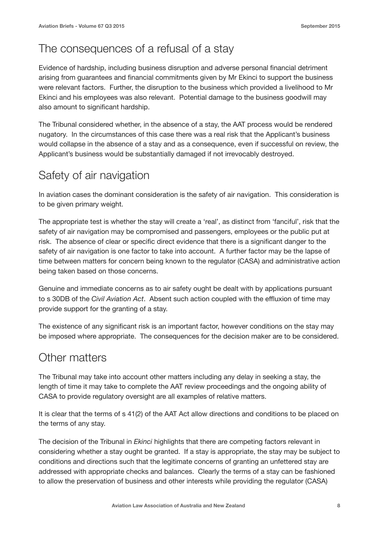### The consequences of a refusal of a stay

Evidence of hardship, including business disruption and adverse personal financial detriment arising from guarantees and financial commitments given by Mr Ekinci to support the business were relevant factors. Further, the disruption to the business which provided a livelihood to Mr Ekinci and his employees was also relevant. Potential damage to the business goodwill may also amount to significant hardship.

The Tribunal considered whether, in the absence of a stay, the AAT process would be rendered nugatory. In the circumstances of this case there was a real risk that the Applicant's business would collapse in the absence of a stay and as a consequence, even if successful on review, the Applicant's business would be substantially damaged if not irrevocably destroyed.

### Safety of air navigation

In aviation cases the dominant consideration is the safety of air navigation. This consideration is to be given primary weight.

The appropriate test is whether the stay will create a 'real', as distinct from 'fanciful', risk that the safety of air navigation may be compromised and passengers, employees or the public put at risk. The absence of clear or specific direct evidence that there is a significant danger to the safety of air navigation is one factor to take into account. A further factor may be the lapse of time between matters for concern being known to the regulator (CASA) and administrative action being taken based on those concerns.

Genuine and immediate concerns as to air safety ought be dealt with by applications pursuant to s 30DB of the *Civil Aviation Act*. Absent such action coupled with the effluxion of time may provide support for the granting of a stay.

The existence of any significant risk is an important factor, however conditions on the stay may be imposed where appropriate. The consequences for the decision maker are to be considered.

#### Other matters

The Tribunal may take into account other matters including any delay in seeking a stay, the length of time it may take to complete the AAT review proceedings and the ongoing ability of CASA to provide regulatory oversight are all examples of relative matters.

It is clear that the terms of s 41(2) of the AAT Act allow directions and conditions to be placed on the terms of any stay.

The decision of the Tribunal in *Ekinci* highlights that there are competing factors relevant in considering whether a stay ought be granted. If a stay is appropriate, the stay may be subject to conditions and directions such that the legitimate concerns of granting an unfettered stay are addressed with appropriate checks and balances. Clearly the terms of a stay can be fashioned to allow the preservation of business and other interests while providing the regulator (CASA)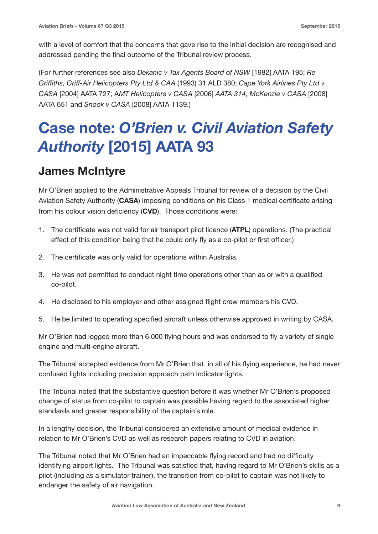with a level of comfort that the concerns that gave rise to the initial decision are recognised and addressed pending the final outcome of the Tribunal review process.

(For further references see also *Dekanic v Tax Agents Board of NSW* [1982] AATA 195; *Re Griffiths, Griff-Air Helicopters Pty Ltd & CAA* (1993) 31 ALD 380; *Cape York Airlines Pty Ltd v CASA* [2004] AATA 727; A*MT Helicopters v CASA* [2006] *AATA 314; McKenzie v CASA* [2008] AATA 651 and *Snook v CASA* [2008] AATA 1139.)

### **Case note:** *O'Brien v. Civil Aviation Safety Authority* **[2015] AATA 93**

### **James McIntyre**

Mr O'Brien applied to the Administrative Appeals Tribunal for review of a decision by the Civil Aviation Safety Authority (**CASA**) imposing conditions on his Class 1 medical certificate arising from his colour vision deficiency (**CVD**). Those conditions were:

- 1. The certificate was not valid for air transport pilot licence (**ATPL**) operations. (The practical effect of this condition being that he could only fly as a co-pilot or first officer.)
- 2. The certificate was only valid for operations within Australia.
- 3. He was not permitted to conduct night time operations other than as or with a qualified co‑pilot.
- 4. He disclosed to his employer and other assigned flight crew members his CVD.
- 5. He be limited to operating specified aircraft unless otherwise approved in writing by CASA.

Mr O'Brien had logged more than 6,000 flying hours and was endorsed to fly a variety of single engine and multi-engine aircraft.

The Tribunal accepted evidence from Mr O'Brien that, in all of his flying experience, he had never confused lights including precision approach path indicator lights.

The Tribunal noted that the substantive question before it was whether Mr O'Brien's proposed change of status from co‑pilot to captain was possible having regard to the associated higher standards and greater responsibility of the captain's role.

In a lengthy decision, the Tribunal considered an extensive amount of medical evidence in relation to Mr O'Brien's CVD as well as research papers relating to CVD in aviation.

The Tribunal noted that Mr O'Brien had an impeccable flying record and had no difficulty identifying airport lights. The Tribunal was satisfied that, having regard to Mr O'Brien's skills as a pilot (including as a simulator trainer), the transition from co-pilot to captain was not likely to endanger the safety of air navigation.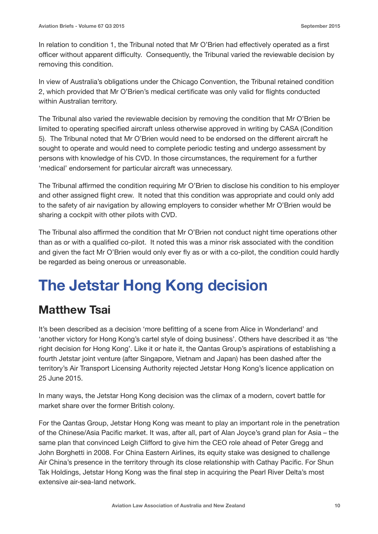In relation to condition 1, the Tribunal noted that Mr O'Brien had effectively operated as a first officer without apparent difficulty. Consequently, the Tribunal varied the reviewable decision by removing this condition.

In view of Australia's obligations under the Chicago Convention, the Tribunal retained condition 2, which provided that Mr O'Brien's medical certificate was only valid for flights conducted within Australian territory.

The Tribunal also varied the reviewable decision by removing the condition that Mr O'Brien be limited to operating specified aircraft unless otherwise approved in writing by CASA (Condition 5). The Tribunal noted that Mr O'Brien would need to be endorsed on the different aircraft he sought to operate and would need to complete periodic testing and undergo assessment by persons with knowledge of his CVD. In those circumstances, the requirement for a further 'medical' endorsement for particular aircraft was unnecessary.

The Tribunal affirmed the condition requiring Mr O'Brien to disclose his condition to his employer and other assigned flight crew. It noted that this condition was appropriate and could only add to the safety of air navigation by allowing employers to consider whether Mr O'Brien would be sharing a cockpit with other pilots with CVD.

The Tribunal also affirmed the condition that Mr O'Brien not conduct night time operations other than as or with a qualified co-pilot. It noted this was a minor risk associated with the condition and given the fact Mr O'Brien would only ever fly as or with a co-pilot, the condition could hardly be regarded as being onerous or unreasonable.

## **The Jetstar Hong Kong decision**

### **Matthew Tsai**

It's been described as a decision 'more befitting of a scene from Alice in Wonderland' and 'another victory for Hong Kong's cartel style of doing business'. Others have described it as 'the right decision for Hong Kong'. Like it or hate it, the Qantas Group's aspirations of establishing a fourth Jetstar joint venture (after Singapore, Vietnam and Japan) has been dashed after the territory's Air Transport Licensing Authority rejected Jetstar Hong Kong's licence application on 25 June 2015.

In many ways, the Jetstar Hong Kong decision was the climax of a modern, covert battle for market share over the former British colony.

For the Qantas Group, Jetstar Hong Kong was meant to play an important role in the penetration of the Chinese/Asia Pacific market. It was, after all, part of Alan Joyce's grand plan for Asia – the same plan that convinced Leigh Clifford to give him the CEO role ahead of Peter Gregg and John Borghetti in 2008. For China Eastern Airlines, its equity stake was designed to challenge Air China's presence in the territory through its close relationship with Cathay Pacific. For Shun Tak Holdings, Jetstar Hong Kong was the final step in acquiring the Pearl River Delta's most extensive air-sea-land network.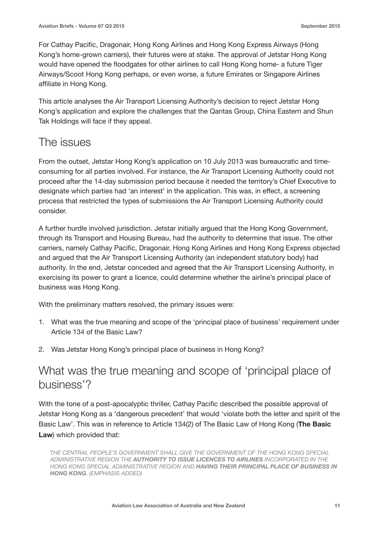For Cathay Pacific, Dragonair, Hong Kong Airlines and Hong Kong Express Airways (Hong Kong's home-grown carriers), their futures were at stake. The approval of Jetstar Hong Kong would have opened the floodgates for other airlines to call Hong Kong home- a future Tiger Airways/Scoot Hong Kong perhaps, or even worse, a future Emirates or Singapore Airlines affiliate in Hong Kong.

This article analyses the Air Transport Licensing Authority's decision to reject Jetstar Hong Kong's application and explore the challenges that the Qantas Group, China Eastern and Shun Tak Holdings will face if they appeal.

#### The issues

From the outset, Jetstar Hong Kong's application on 10 July 2013 was bureaucratic and timeconsuming for all parties involved. For instance, the Air Transport Licensing Authority could not proceed after the 14-day submission period because it needed the territory's Chief Executive to designate which parties had 'an interest' in the application. This was, in effect, a screening process that restricted the types of submissions the Air Transport Licensing Authority could consider.

A further hurdle involved jurisdiction. Jetstar initially argued that the Hong Kong Government, through its Transport and Housing Bureau, had the authority to determine that issue. The other carriers, namely Cathay Pacific, Dragonair, Hong Kong Airlines and Hong Kong Express objected and argued that the Air Transport Licensing Authority (an independent statutory body) had authority. In the end, Jetstar conceded and agreed that the Air Transport Licensing Authority, in exercising its power to grant a licence, could determine whether the airline's principal place of business was Hong Kong.

With the preliminary matters resolved, the primary issues were:

- 1. What was the true meaning and scope of the 'principal place of business' requirement under Article 134 of the Basic Law?
- 2. Was Jetstar Hong Kong's principal place of business in Hong Kong?

### What was the true meaning and scope of 'principal place of business'?

With the tone of a post-apocalyptic thriller, Cathay Pacific described the possible approval of Jetstar Hong Kong as a 'dangerous precedent' that would 'violate both the letter and spirit of the Basic Law'. This was in reference to Article 134(2) of The Basic Law of Hong Kong (**The Basic Law**) which provided that:

*THE CENTRAL PEOPLE'S GOVERNMENT SHALL GIVE THE GOVERNMENT OF THE HONG KONG SPECIAL ADMINISTRATIVE REGION THE AUTHORITY TO ISSUE LICENCES TO AIRLINES INCORPORATED IN THE HONG KONG SPECIAL ADMINISTRATIVE REGION AND HAVING THEIR PRINCIPAL PLACE OF BUSINESS IN HONG KONG. (EMPHASIS ADDED)*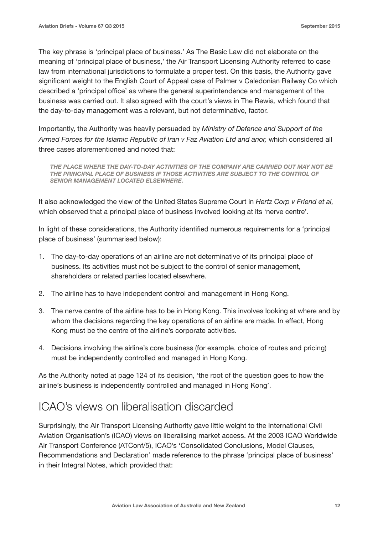The key phrase is 'principal place of business.' As The Basic Law did not elaborate on the meaning of 'principal place of business,' the Air Transport Licensing Authority referred to case law from international jurisdictions to formulate a proper test. On this basis, the Authority gave significant weight to the English Court of Appeal case of Palmer v Caledonian Railway Co which described a 'principal office' as where the general superintendence and management of the business was carried out. It also agreed with the court's views in The Rewia, which found that the day-to-day management was a relevant, but not determinative, factor.

Importantly, the Authority was heavily persuaded by *Ministry of Defence and Support of the Armed Forces for the Islamic Republic of Iran v Faz Aviation Ltd and anor,* which considered all three cases aforementioned and noted that:

*THE PLACE WHERE THE DAY-TO-DAY ACTIVITIES OF THE COMPANY ARE CARRIED OUT MAY NOT BE*  THE PRINCIPAL PLACE OF BUSINESS IF THOSE ACTIVITIES ARE SUBJECT TO THE CONTROL OF *SENIOR MANAGEMENT LOCATED ELSEWHERE.* 

It also acknowledged the view of the United States Supreme Court in *Hertz Corp v Friend et al,* which observed that a principal place of business involved looking at its 'nerve centre'.

In light of these considerations, the Authority identified numerous requirements for a 'principal place of business' (summarised below):

- 1. The day-to-day operations of an airline are not determinative of its principal place of business. Its activities must not be subject to the control of senior management, shareholders or related parties located elsewhere.
- 2. The airline has to have independent control and management in Hong Kong.
- 3. The nerve centre of the airline has to be in Hong Kong. This involves looking at where and by whom the decisions regarding the key operations of an airline are made. In effect, Hong Kong must be the centre of the airline's corporate activities.
- 4. Decisions involving the airline's core business (for example, choice of routes and pricing) must be independently controlled and managed in Hong Kong.

As the Authority noted at page 124 of its decision, 'the root of the question goes to how the airline's business is independently controlled and managed in Hong Kong'.

#### ICAO's views on liberalisation discarded

Surprisingly, the Air Transport Licensing Authority gave little weight to the International Civil Aviation Organisation's (ICAO) views on liberalising market access. At the 2003 ICAO Worldwide Air Transport Conference (ATConf/5), ICAO's 'Consolidated Conclusions, Model Clauses, Recommendations and Declaration' made reference to the phrase 'principal place of business' in their Integral Notes, which provided that: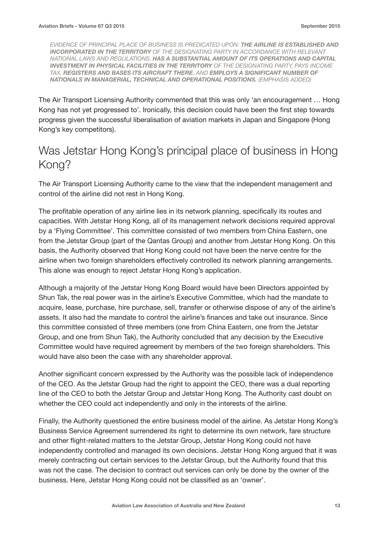*EVIDENCE OF PRINCIPAL PLACE OF BUSINESS IS PREDICATED UPON: THE AIRLINE IS ESTABLISHED AND INCORPORATED IN THE TERRITORY OF THE DESIGNATING PARTY IN ACCORDANCE WITH RELEVANT NATIONAL LAWS AND REGULATIONS, HAS A SUBSTANTIAL AMOUNT OF ITS OPERATIONS AND CAPITAL INVESTMENT IN PHYSICAL FACILITIES IN THE TERRITORY OF THE DESIGNATING PARTY, PAYS INCOME TAX, REGISTERS AND BASES ITS AIRCRAFT THERE, AND EMPLOYS A SIGNIFICANT NUMBER OF NATIONALS IN MANAGERIAL, TECHNICAL AND OPERATIONAL POSITIONS. (EMPHASIS ADDED)*

The Air Transport Licensing Authority commented that this was only 'an encouragement … Hong Kong has not yet progressed to'. Ironically, this decision could have been the first step towards progress given the successful liberalisation of aviation markets in Japan and Singapore (Hong Kong's key competitors).

### Was Jetstar Hong Kong's principal place of business in Hong Kong?

The Air Transport Licensing Authority came to the view that the independent management and control of the airline did not rest in Hong Kong.

The profitable operation of any airline lies in its network planning, specifically its routes and capacities. With Jetstar Hong Kong, all of its management network decisions required approval by a 'Flying Committee'. This committee consisted of two members from China Eastern, one from the Jetstar Group (part of the Qantas Group) and another from Jetstar Hong Kong. On this basis, the Authority observed that Hong Kong could not have been the nerve centre for the airline when two foreign shareholders effectively controlled its network planning arrangements. This alone was enough to reject Jetstar Hong Kong's application.

Although a majority of the Jetstar Hong Kong Board would have been Directors appointed by Shun Tak, the real power was in the airline's Executive Committee, which had the mandate to acquire, lease, purchase, hire purchase, sell, transfer or otherwise dispose of any of the airline's assets. It also had the mandate to control the airline's finances and take out insurance. Since this committee consisted of three members (one from China Eastern, one from the Jetstar Group, and one from Shun Tak), the Authority concluded that any decision by the Executive Committee would have required agreement by members of the two foreign shareholders. This would have also been the case with any shareholder approval.

Another significant concern expressed by the Authority was the possible lack of independence of the CEO. As the Jetstar Group had the right to appoint the CEO, there was a dual reporting line of the CEO to both the Jetstar Group and Jetstar Hong Kong. The Authority cast doubt on whether the CEO could act independently and only in the interests of the airline.

Finally, the Authority questioned the entire business model of the airline. As Jetstar Hong Kong's Business Service Agreement surrendered its right to determine its own network, fare structure and other flight-related matters to the Jetstar Group, Jetstar Hong Kong could not have independently controlled and managed its own decisions. Jetstar Hong Kong argued that it was merely contracting out certain services to the Jetstar Group, but the Authority found that this was not the case. The decision to contract out services can only be done by the owner of the business. Here, Jetstar Hong Kong could not be classified as an 'owner'.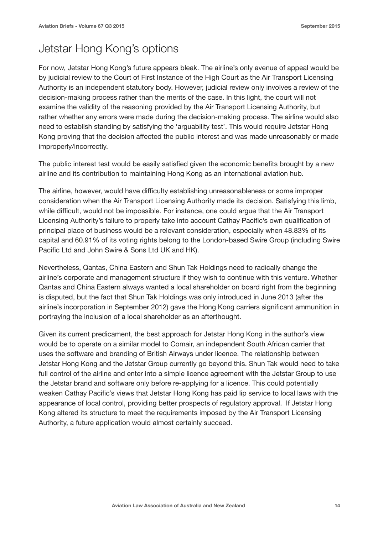### Jetstar Hong Kong's options

For now, Jetstar Hong Kong's future appears bleak. The airline's only avenue of appeal would be by judicial review to the Court of First Instance of the High Court as the Air Transport Licensing Authority is an independent statutory body. However, judicial review only involves a review of the decision-making process rather than the merits of the case. In this light, the court will not examine the validity of the reasoning provided by the Air Transport Licensing Authority, but rather whether any errors were made during the decision-making process. The airline would also need to establish standing by satisfying the 'arguability test'. This would require Jetstar Hong Kong proving that the decision affected the public interest and was made unreasonably or made improperly/incorrectly.

The public interest test would be easily satisfied given the economic benefits brought by a new airline and its contribution to maintaining Hong Kong as an international aviation hub.

The airline, however, would have difficulty establishing unreasonableness or some improper consideration when the Air Transport Licensing Authority made its decision. Satisfying this limb, while difficult, would not be impossible. For instance, one could argue that the Air Transport Licensing Authority's failure to properly take into account Cathay Pacific's own qualification of principal place of business would be a relevant consideration, especially when 48.83% of its capital and 60.91% of its voting rights belong to the London-based Swire Group (including Swire Pacific Ltd and John Swire & Sons Ltd UK and HK).

Nevertheless, Qantas, China Eastern and Shun Tak Holdings need to radically change the airline's corporate and management structure if they wish to continue with this venture. Whether Qantas and China Eastern always wanted a local shareholder on board right from the beginning is disputed, but the fact that Shun Tak Holdings was only introduced in June 2013 (after the airline's incorporation in September 2012) gave the Hong Kong carriers significant ammunition in portraying the inclusion of a local shareholder as an afterthought.

Given its current predicament, the best approach for Jetstar Hong Kong in the author's view would be to operate on a similar model to Comair, an independent South African carrier that uses the software and branding of British Airways under licence. The relationship between Jetstar Hong Kong and the Jetstar Group currently go beyond this. Shun Tak would need to take full control of the airline and enter into a simple licence agreement with the Jetstar Group to use the Jetstar brand and software only before re-applying for a licence. This could potentially weaken Cathay Pacific's views that Jetstar Hong Kong has paid lip service to local laws with the appearance of local control, providing better prospects of regulatory approval. If Jetstar Hong Kong altered its structure to meet the requirements imposed by the Air Transport Licensing Authority, a future application would almost certainly succeed.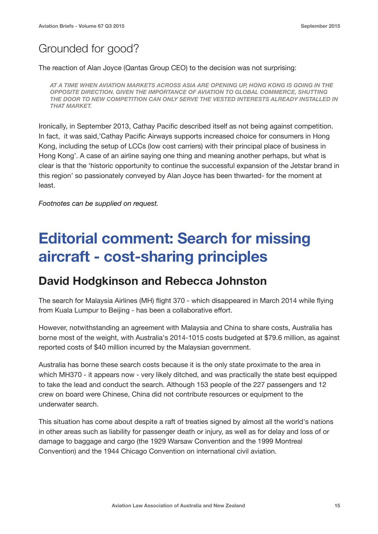### Grounded for good?

The reaction of Alan Joyce (Qantas Group CEO) to the decision was not surprising:

*AT A TIME WHEN AVIATION MARKETS ACROSS ASIA ARE OPENING UP, HONG KONG IS GOING IN THE OPPOSITE DIRECTION. GIVEN THE IMPORTANCE OF AVIATION TO GLOBAL COMMERCE, SHUTTING THE DOOR TO NEW COMPETITION CAN ONLY SERVE THE VESTED INTERESTS ALREADY INSTALLED IN THAT MARKET.*

Ironically, in September 2013, Cathay Pacific described itself as not being against competition. In fact, it was said,'Cathay Pacific Airways supports increased choice for consumers in Hong Kong, including the setup of LCCs (low cost carriers) with their principal place of business in Hong Kong'. A case of an airline saying one thing and meaning another perhaps, but what is clear is that the 'historic opportunity to continue the successful expansion of the Jetstar brand in this region' so passionately conveyed by Alan Joyce has been thwarted- for the moment at least.

*Footnotes can be supplied on request.* 

### **Editorial comment: Search for missing aircraft - cost-sharing principles**

#### **David Hodgkinson and Rebecca Johnston**

The search for Malaysia Airlines (MH) flight 370 - which disappeared in March 2014 while flying from Kuala Lumpur to Beijing - has been a collaborative effort.

However, notwithstanding an agreement with Malaysia and China to share costs, Australia has borne most of the weight, with Australia's 2014-1015 costs budgeted at \$79.6 million, as against reported costs of \$40 million incurred by the Malaysian government.

Australia has borne these search costs because it is the only state proximate to the area in which MH370 - it appears now - very likely ditched, and was practically the state best equipped to take the lead and conduct the search. Although 153 people of the 227 passengers and 12 crew on board were Chinese, China did not contribute resources or equipment to the underwater search.

This situation has come about despite a raft of treaties signed by almost all the world's nations in other areas such as liability for passenger death or injury, as well as for delay and loss of or damage to baggage and cargo (the 1929 Warsaw Convention and the 1999 Montreal Convention) and the 1944 Chicago Convention on international civil aviation.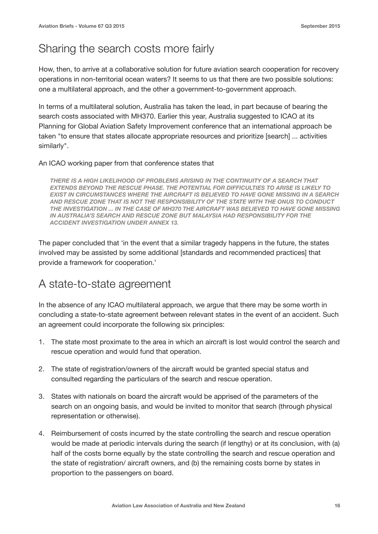### Sharing the search costs more fairly

How, then, to arrive at a collaborative solution for future aviation search cooperation for recovery operations in non-territorial ocean waters? It seems to us that there are two possible solutions: one a multilateral approach, and the other a government-to-government approach.

In terms of a multilateral solution, Australia has taken the lead, in part because of bearing the search costs associated with MH370. Earlier this year, Australia suggested to ICAO at its Planning for Global Aviation Safety Improvement conference that an international approach be taken "to ensure that states allocate appropriate resources and prioritize [search] ... activities similarly".

#### An ICAO working paper from that conference states that

*THERE IS A HIGH LIKELIHOOD OF PROBLEMS ARISING IN THE CONTINUITY OF A SEARCH THAT EXTENDS BEYOND THE RESCUE PHASE. THE POTENTIAL FOR DIFFICULTIES TO ARISE IS LIKELY TO EXIST IN CIRCUMSTANCES WHERE THE AIRCRAFT IS BELIEVED TO HAVE GONE MISSING IN A SEARCH AND RESCUE ZONE THAT IS NOT THE RESPONSIBILITY OF THE STATE WITH THE ONUS TO CONDUCT THE INVESTIGATION ... IN THE CASE OF MH370 THE AIRCRAFT WAS BELIEVED TO HAVE GONE MISSING IN AUSTRALIA'S SEARCH AND RESCUE ZONE BUT MALAYSIA HAD RESPONSIBILITY FOR THE ACCIDENT INVESTIGATION UNDER ANNEX 13.*

The paper concluded that 'in the event that a similar tragedy happens in the future, the states involved may be assisted by some additional [standards and recommended practices] that provide a framework for cooperation.'

#### A state-to-state agreement

In the absence of any ICAO multilateral approach, we argue that there may be some worth in concluding a state-to-state agreement between relevant states in the event of an accident. Such an agreement could incorporate the following six principles:

- 1. The state most proximate to the area in which an aircraft is lost would control the search and rescue operation and would fund that operation.
- 2. The state of registration/owners of the aircraft would be granted special status and consulted regarding the particulars of the search and rescue operation.
- 3. States with nationals on board the aircraft would be apprised of the parameters of the search on an ongoing basis, and would be invited to monitor that search (through physical representation or otherwise).
- 4. Reimbursement of costs incurred by the state controlling the search and rescue operation would be made at periodic intervals during the search (if lengthy) or at its conclusion, with (a) half of the costs borne equally by the state controlling the search and rescue operation and the state of registration/ aircraft owners, and (b) the remaining costs borne by states in proportion to the passengers on board.